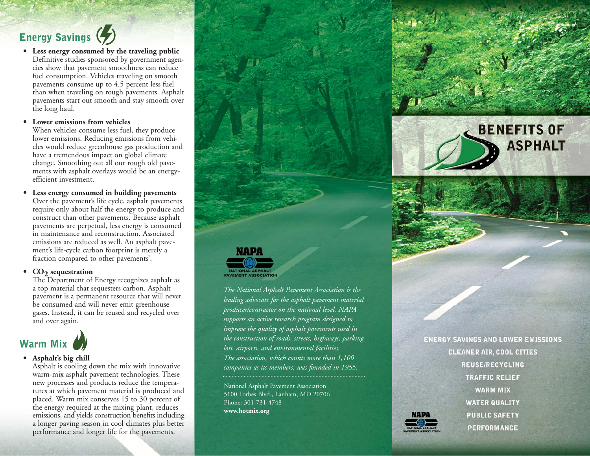### **Energy Savings**

**Less energy consumed by the traveling public •** Definitive studies sponsored by government agencies show that pavement smoothness can reduce fuel consumption. Vehicles traveling on smooth pavements consume up to 4.5 percent less fuel than when traveling on rough pavements. Asphalt pavements start out smooth and stay smooth over the long haul.

**Lower emissions from vehicles •**

When vehicles consume less fuel, they produce lower emissions. Reducing emissions from vehicles would reduce greenhouse gas production and have a tremendous impact on global climate change. Smoothing out all our rough old pavements with asphalt overlays would be an energyefficient investment.

**Less energy consumed in building pavements** Over the pavement's life cycle, asphalt pavements require only about half the energy to produce and construct than other pavements. Because asphalt pavements are perpetual, less energy is consumed in maintenance and reconstruction. Associated emissions are reduced as well. An asphalt pavement's life-cycle carbon footprint is merely a fraction compared to other pavements'. **•**

#### • CO<sub>2</sub> sequestration

The Department of Energy recognizes asphalt as a top material that sequesters carbon. Asphalt pavement is a permanent resource that will never be consumed and will never emit greenhouse gases. Instead, it can be reused and recycled over and over again.



#### **Asphalt's big chill •**

Asphalt is cooling down the mix with innovative warm-mix asphalt pavement technologies. These new processes and products reduce the temperatures at which pavement material is produced and placed. Warm mix conserves 15 to 30 percent of the energy required at the mixing plant, reduces emissions, and yields construction benefits including a longer paving season in cool climates plus better performance and longer life for the pavements.



*leading advocate for the asphalt pavement material producer/contractor on the national level. NAPA supports an active research program designed to improve the quality of asphalt pavements used in the construction of roads, streets, highways, parking lots, airports, and environmental facilities. The association, which counts more than 1,100 companies as its members, was founded in 1955.*

National Asphalt Pavement Association 5100 Forbes Blvd., Lanham, MD 20706 Phone: 301-731-4748 **www.hotmix.org**

**ENERGY SAVINGS AND LOWER EMISSIONS CLEANER AIR, COOL CITIES REUSE/RECYCLING TRAFFIC RELIEF WARM MIX WATER QUALITY PUBLIC SAFETY PERFORMANCE** 

**BENEFITS OF** 

**ASPHALT**